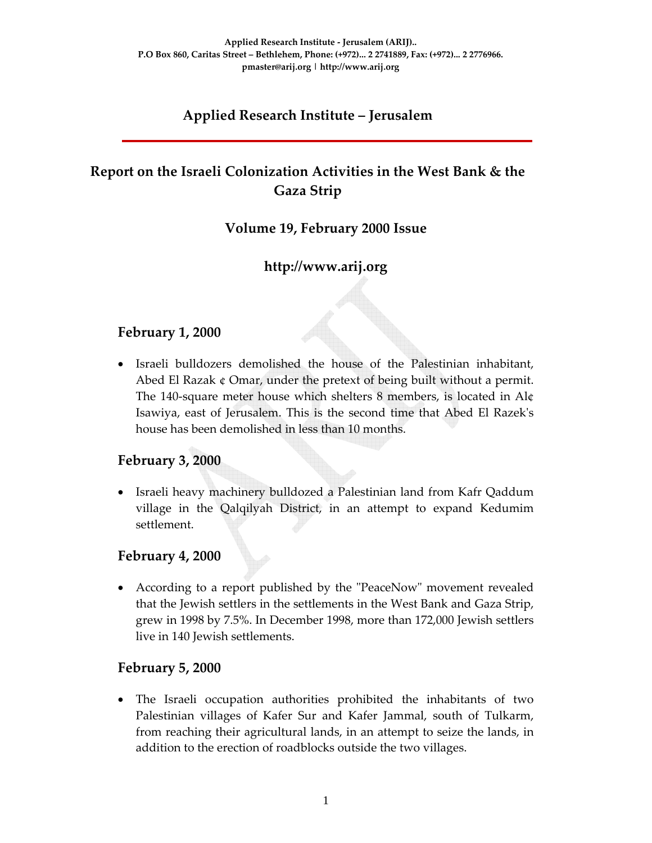# **Applied Research Institute – Jerusalem**

# **Report on the Israeli Colonization Activities in the West Bank & the Gaza Strip**

### **Volume 19, February 2000 Issue**

# **http://www.arij.org**

### **February 1, 2000**

• Israeli bulldozers demolished the house of the Palestinian inhabitant, Abed El Razak ¢ Omar, under the pretext of being built without a permit. The 140‐square meter house which shelters 8 members, is located in Al¢ Isawiya, east of Jerusalem. This is the second time that Abed El Razekʹs house has been demolished in less than 10 months.

# **February 3, 2000**

• Israeli heavy machinery bulldozed a Palestinian land from Kafr Qaddum village in the Qalqilyah District, in an attempt to expand Kedumim settlement.

### **February 4, 2000**

• According to a report published by the "PeaceNow" movement revealed that the Jewish settlers in the settlements in the West Bank and Gaza Strip, grew in 1998 by 7.5%. In December 1998, more than 172,000 Jewish settlers live in 140 Jewish settlements.

### **February 5, 2000**

• The Israeli occupation authorities prohibited the inhabitants of two Palestinian villages of Kafer Sur and Kafer Jammal, south of Tulkarm, from reaching their agricultural lands, in an attempt to seize the lands, in addition to the erection of roadblocks outside the two villages.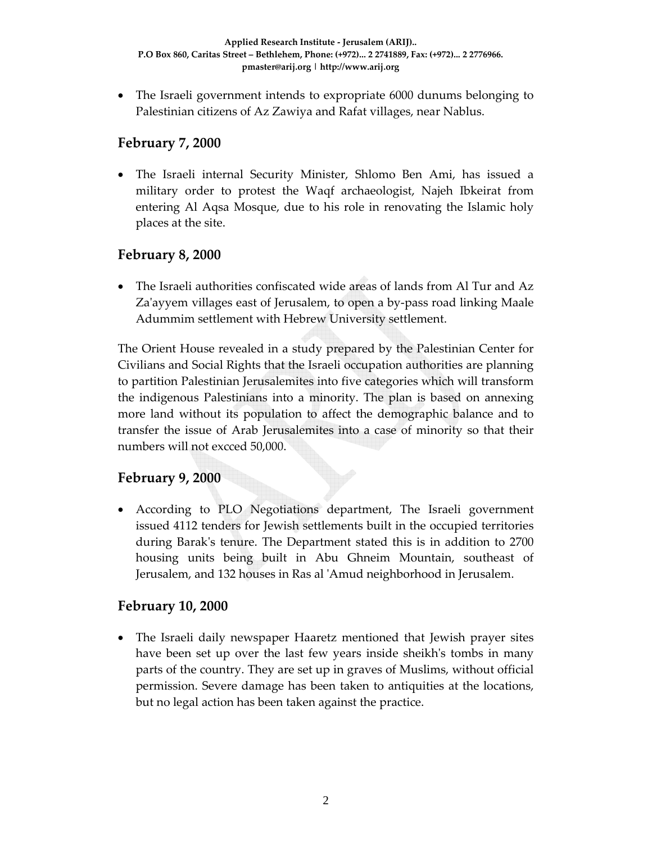• The Israeli government intends to expropriate 6000 dunums belonging to Palestinian citizens of Az Zawiya and Rafat villages, near Nablus.

### **February 7, 2000**

• The Israeli internal Security Minister, Shlomo Ben Ami, has issued a military order to protest the Waqf archaeologist, Najeh Ibkeirat from entering Al Aqsa Mosque, due to his role in renovating the Islamic holy places at the site.

# **February 8, 2000**

• The Israeli authorities confiscated wide areas of lands from Al Tur and Az Za'ayyem villages east of Jerusalem, to open a by-pass road linking Maale Adummim settlement with Hebrew University settlement.

The Orient House revealed in a study prepared by the Palestinian Center for Civilians and Social Rights that the Israeli occupation authorities are planning to partition Palestinian Jerusalemites into five categories which will transform the indigenous Palestinians into a minority. The plan is based on annexing more land without its population to affect the demographic balance and to transfer the issue of Arab Jerusalemites into a case of minority so that their numbers will not excced 50,000.

# **February 9, 2000**

• According to PLO Negotiations department, The Israeli government issued 4112 tenders for Jewish settlements built in the occupied territories during Barakʹs tenure. The Department stated this is in addition to 2700 housing units being built in Abu Ghneim Mountain, southeast of Jerusalem, and 132 houses in Ras al ʹAmud neighborhood in Jerusalem.

# **February 10, 2000**

• The Israeli daily newspaper Haaretz mentioned that Jewish prayer sites have been set up over the last few years inside sheikh's tombs in many parts of the country. They are set up in graves of Muslims, without official permission. Severe damage has been taken to antiquities at the locations, but no legal action has been taken against the practice.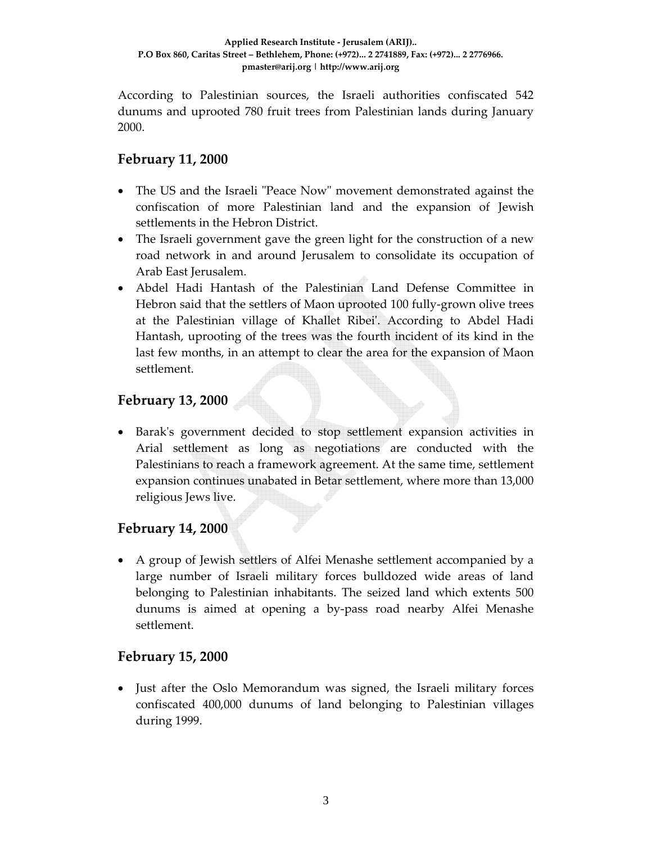According to Palestinian sources, the Israeli authorities confiscated 542 dunums and uprooted 780 fruit trees from Palestinian lands during January 2000.

### **February 11, 2000**

- The US and the Israeli "Peace Now" movement demonstrated against the confiscation of more Palestinian land and the expansion of Jewish settlements in the Hebron District.
- The Israeli government gave the green light for the construction of a new road network in and around Jerusalem to consolidate its occupation of Arab East Jerusalem.
- Abdel Hadi Hantash of the Palestinian Land Defense Committee in Hebron said that the settlers of Maon uprooted 100 fully-grown olive trees at the Palestinian village of Khallet Ribeiʹ. According to Abdel Hadi Hantash, uprooting of the trees was the fourth incident of its kind in the last few months, in an attempt to clear the area for the expansion of Maon settlement.

### **February 13, 2000**

• Barakʹs government decided to stop settlement expansion activities in Arial settlement as long as negotiations are conducted with the Palestinians to reach a framework agreement. At the same time, settlement expansion continues unabated in Betar settlement, where more than 13,000 religious Jews live.

# **February 14, 2000**

• A group of Jewish settlers of Alfei Menashe settlement accompanied by a large number of Israeli military forces bulldozed wide areas of land belonging to Palestinian inhabitants. The seized land which extents 500 dunums is aimed at opening a by‐pass road nearby Alfei Menashe settlement.

### **February 15, 2000**

• Just after the Oslo Memorandum was signed, the Israeli military forces confiscated 400,000 dunums of land belonging to Palestinian villages during 1999.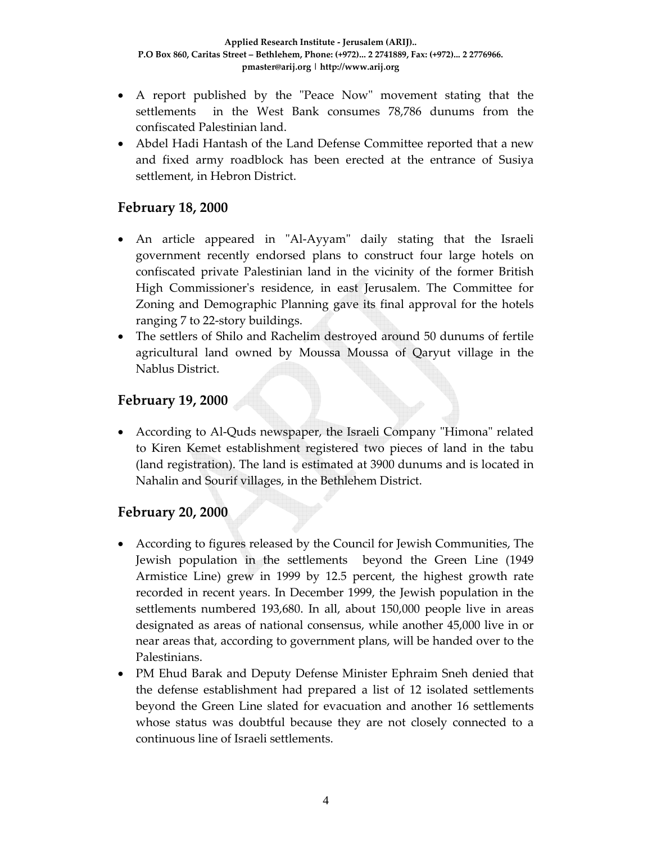- A report published by the "Peace Now" movement stating that the settlements in the West Bank consumes 78,786 dunums from the confiscated Palestinian land.
- Abdel Hadi Hantash of the Land Defense Committee reported that a new and fixed army roadblock has been erected at the entrance of Susiya settlement, in Hebron District.

### **February 18, 2000**

- An article appeared in "Al-Ayyam" daily stating that the Israeli government recently endorsed plans to construct four large hotels on confiscated private Palestinian land in the vicinity of the former British High Commissionerʹs residence, in east Jerusalem. The Committee for Zoning and Demographic Planning gave its final approval for the hotels ranging 7 to 22‐story buildings.
- The settlers of Shilo and Rachelim destroyed around 50 dunums of fertile agricultural land owned by Moussa Moussa of Qaryut village in the Nablus District.

### **February 19, 2000**

• According to Al-Quds newspaper, the Israeli Company "Himona" related to Kiren Kemet establishment registered two pieces of land in the tabu (land registration). The land is estimated at 3900 dunums and is located in Nahalin and Sourif villages, in the Bethlehem District.

### **February 20, 2000**

- According to figures released by the Council for Jewish Communities, The Jewish population in the settlements beyond the Green Line (1949 Armistice Line) grew in 1999 by 12.5 percent, the highest growth rate recorded in recent years. In December 1999, the Jewish population in the settlements numbered 193,680. In all, about 150,000 people live in areas designated as areas of national consensus, while another 45,000 live in or near areas that, according to government plans, will be handed over to the Palestinians.
- PM Ehud Barak and Deputy Defense Minister Ephraim Sneh denied that the defense establishment had prepared a list of 12 isolated settlements beyond the Green Line slated for evacuation and another 16 settlements whose status was doubtful because they are not closely connected to a continuous line of Israeli settlements.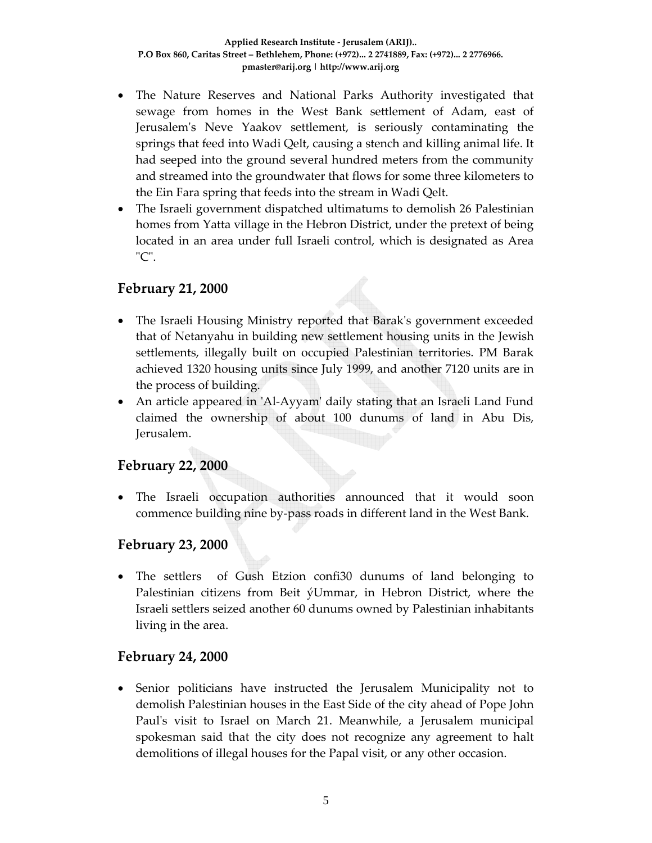- The Nature Reserves and National Parks Authority investigated that sewage from homes in the West Bank settlement of Adam, east of Jerusalemʹs Neve Yaakov settlement, is seriously contaminating the springs that feed into Wadi Qelt, causing a stench and killing animal life. It had seeped into the ground several hundred meters from the community and streamed into the groundwater that flows for some three kilometers to the Ein Fara spring that feeds into the stream in Wadi Qelt.
- The Israeli government dispatched ultimatums to demolish 26 Palestinian homes from Yatta village in the Hebron District, under the pretext of being located in an area under full Israeli control, which is designated as Area  $"C".$

### **February 21, 2000**

- The Israeli Housing Ministry reported that Barak's government exceeded that of Netanyahu in building new settlement housing units in the Jewish settlements, illegally built on occupied Palestinian territories. PM Barak achieved 1320 housing units since July 1999, and another 7120 units are in the process of building.
- An article appeared in ʹAl‐Ayyamʹ daily stating that an Israeli Land Fund claimed the ownership of about 100 dunums of land in Abu Dis, Jerusalem.

### **February 22, 2000**

• The Israeli occupation authorities announced that it would soon commence building nine by‐pass roads in different land in the West Bank.

### **February 23, 2000**

• The settlers of Gush Etzion confi $30$  dunums of land belonging to Palestinian citizens from Beit ýUmmar, in Hebron District, where the Israeli settlers seized another 60 dunums owned by Palestinian inhabitants living in the area.

### **February 24, 2000**

• Senior politicians have instructed the Jerusalem Municipality not to demolish Palestinian houses in the East Side of the city ahead of Pope John Paul's visit to Israel on March 21. Meanwhile, a Jerusalem municipal spokesman said that the city does not recognize any agreement to halt demolitions of illegal houses for the Papal visit, or any other occasion.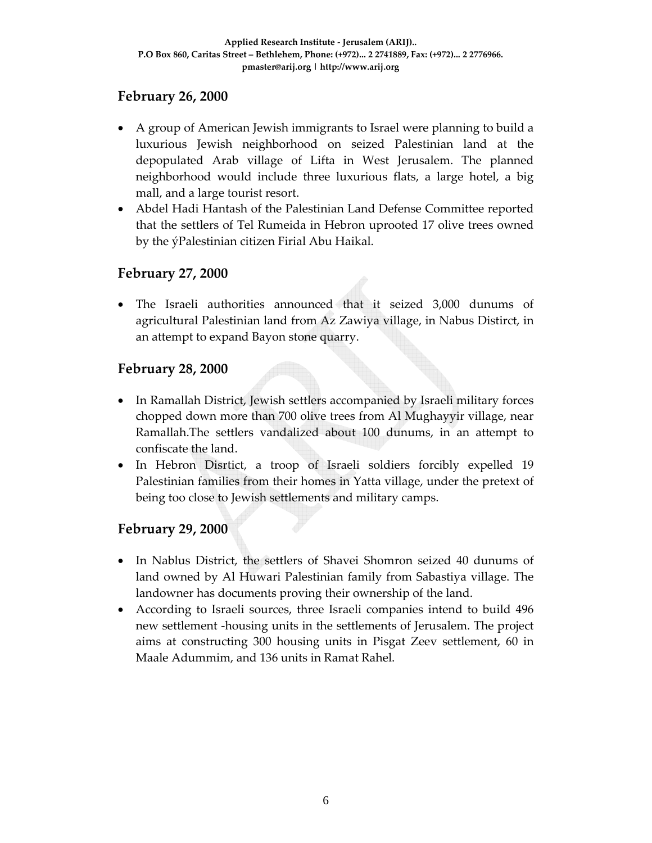### **February 26, 2000**

- A group of American Jewish immigrants to Israel were planning to build a luxurious Jewish neighborhood on seized Palestinian land at the depopulated Arab village of Lifta in West Jerusalem. The planned neighborhood would include three luxurious flats, a large hotel, a big mall, and a large tourist resort.
- Abdel Hadi Hantash of the Palestinian Land Defense Committee reported that the settlers of Tel Rumeida in Hebron uprooted 17 olive trees owned by the ýPalestinian citizen Firial Abu Haikal.

### **February 27, 2000**

• The Israeli authorities announced that it seized 3,000 dunums of agricultural Palestinian land from Az Zawiya village, in Nabus Distirct, in an attempt to expand Bayon stone quarry.

### **February 28, 2000**

- In Ramallah District, Jewish settlers accompanied by Israeli military forces chopped down more than 700 olive trees from Al Mughayyir village, near Ramallah.The settlers vandalized about 100 dunums, in an attempt to confiscate the land.
- In Hebron Disrtict, a troop of Israeli soldiers forcibly expelled 19 Palestinian families from their homes in Yatta village, under the pretext of being too close to Jewish settlements and military camps.

### **February 29, 2000**

- In Nablus District, the settlers of Shavei Shomron seized 40 dunums of land owned by Al Huwari Palestinian family from Sabastiya village. The landowner has documents proving their ownership of the land.
- According to Israeli sources, three Israeli companies intend to build 496 new settlement ‐housing units in the settlements of Jerusalem. The project aims at constructing 300 housing units in Pisgat Zeev settlement, 60 in Maale Adummim, and 136 units in Ramat Rahel.